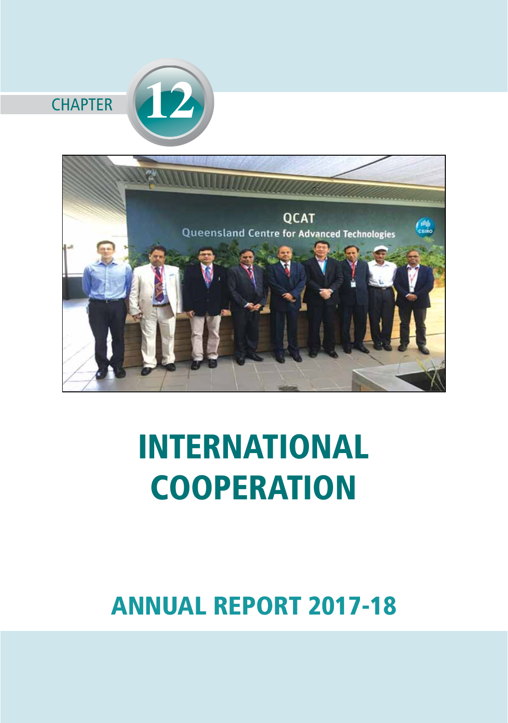

# INTERNATIONAL **COOPERATION**

# ANNUAL REPORT 2017-18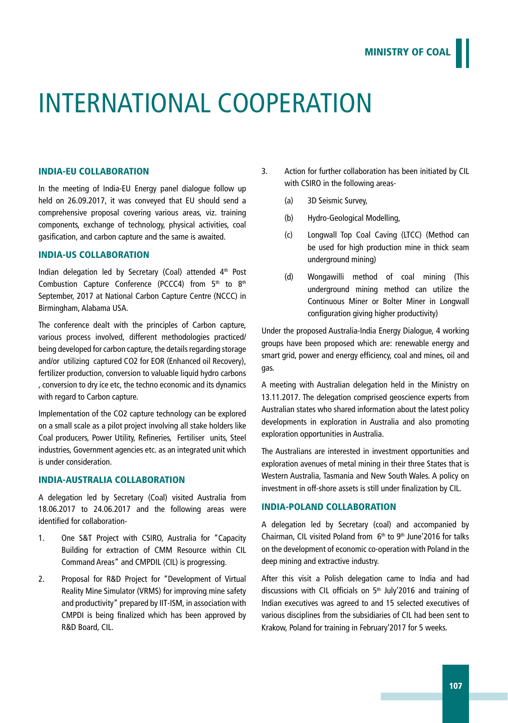# International Cooperation

### INDIA-EU COLLABORATION

In the meeting of India-EU Energy panel dialogue follow up held on 26.09.2017, it was conveyed that EU should send a comprehensive proposal covering various areas, viz. training components, exchange of technology, physical activities, coal gasification, and carbon capture and the same is awaited.

## INDIA-US COLLABORATION

Indian delegation led by Secretary (Coal) attended  $4<sup>th</sup>$  Post Combustion Capture Conference (PCCC4) from  $5<sup>th</sup>$  to  $8<sup>th</sup>$ September, 2017 at National Carbon Capture Centre (NCCC) in Birmingham, Alabama USA.

The conference dealt with the principles of Carbon capture, various process involved, different methodologies practiced/ being developed for carbon capture, the details regarding storage and/or utilizing captured CO2 for EOR (Enhanced oil Recovery), fertilizer production, conversion to valuable liquid hydro carbons , conversion to dry ice etc, the techno economic and its dynamics with regard to Carbon capture.

Implementation of the CO2 capture technology can be explored on a small scale as a pilot project involving all stake holders like Coal producers, Power Utility, Refineries, Fertiliser units, Steel industries, Government agencies etc. as an integrated unit which is under consideration.

#### INDIA-AUSTRALIA COLLABORATION

A delegation led by Secretary (Coal) visited Australia from 18.06.2017 to 24.06.2017 and the following areas were identified for collaboration-

- 1. One S&T Project with CSIRO, Australia for "Capacity Building for extraction of CMM Resource within CIL Command Areas" and CMPDIL (CIL) is progressing.
- 2. Proposal for R&D Project for "Development of Virtual Reality Mine Simulator (VRMS) for improving mine safety and productivity" prepared by IIT-ISM, in association with CMPDI is being finalized which has been approved by R&D Board, CIL.
- 3. Action for further collaboration has been initiated by CIL with CSIRO in the following areas-
	- (a) 3D Seismic Survey,
	- (b) Hydro-Geological Modelling,
	- (c) Longwall Top Coal Caving (LTCC) (Method can be used for high production mine in thick seam underground mining)
	- (d) Wongawilli method of coal mining (This underground mining method can utilize the Continuous Miner or Bolter Miner in Longwall configuration giving higher productivity)

Under the proposed Australia-India Energy Dialogue, 4 working groups have been proposed which are: renewable energy and smart grid, power and energy efficiency, coal and mines, oil and gas.

A meeting with Australian delegation held in the Ministry on 13.11.2017. The delegation comprised geoscience experts from Australian states who shared information about the latest policy developments in exploration in Australia and also promoting exploration opportunities in Australia.

The Australians are interested in investment opportunities and exploration avenues of metal mining in their three States that is Western Australia, Tasmania and New South Wales. A policy on investment in off-shore assets is still under finalization by CIL.

# INDIA-POLAND COLLABORATION

A delegation led by Secretary (coal) and accompanied by Chairman, CIL visited Poland from  $6<sup>th</sup>$  to  $9<sup>th</sup>$  June'2016 for talks on the development of economic co-operation with Poland in the deep mining and extractive industry.

After this visit a Polish delegation came to India and had discussions with CIL officials on  $5<sup>th</sup>$  July'2016 and training of Indian executives was agreed to and 15 selected executives of various disciplines from the subsidiaries of CIL had been sent to Krakow, Poland for training in February'2017 for 5 weeks.